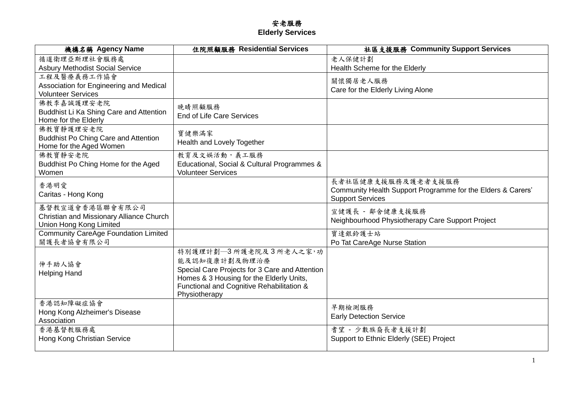## 安老服務 **Elderly Services**

| 機構名稱 Agency Name                                                | 住院照顧服務 Residential Services                    | 社區支援服務 Community Support Services                           |
|-----------------------------------------------------------------|------------------------------------------------|-------------------------------------------------------------|
| 循道衛理亞斯理社會服務處                                                    |                                                | 老人保健計劃                                                      |
| <b>Asbury Methodist Social Service</b>                          |                                                | Health Scheme for the Elderly                               |
| 工程及醫療義務工作協會                                                     |                                                | 關懷獨居老人服務                                                    |
| Association for Engineering and Medical                         |                                                | Care for the Elderly Living Alone                           |
| <b>Volunteer Services</b>                                       |                                                |                                                             |
| 佛教李嘉誠護理安老院                                                      | 晚晴照顧服務                                         |                                                             |
| Buddhist Li Ka Shing Care and Attention<br>Home for the Elderly | <b>End of Life Care Services</b>               |                                                             |
| 佛教寶靜護理安老院                                                       |                                                |                                                             |
| <b>Buddhist Po Ching Care and Attention</b>                     | 寶健樂滿家                                          |                                                             |
| Home for the Aged Women                                         | Health and Lovely Together                     |                                                             |
| 佛教寶靜安老院                                                         | 教育及文娱活動,義工服務                                   |                                                             |
| Buddhist Po Ching Home for the Aged                             | Educational, Social & Cultural Programmes &    |                                                             |
| Women                                                           | <b>Volunteer Services</b>                      |                                                             |
| 香港明愛                                                            |                                                | 長者社區健康支援服務及護老者支援服務                                          |
| Caritas - Hong Kong                                             |                                                | Community Health Support Programme for the Elders & Carers' |
| 基督教宣道會香港區聯會有限公司                                                 |                                                | <b>Support Services</b>                                     |
| Christian and Missionary Alliance Church                        |                                                | 宣健護長 - 鄰舍健康支援服務                                             |
| Union Hong Kong Limited                                         |                                                | Neighbourhood Physiotherapy Care Support Project            |
| <b>Community CareAge Foundation Limited</b>                     |                                                | 寶達銀鈴護士站                                                     |
| 關護長者協會有限公司                                                      |                                                | Po Tat CareAge Nurse Station                                |
|                                                                 | 特別護理計劃–3所護老院及3所老人之家,功                          |                                                             |
| 伸手助人協會                                                          | 能及認知復康計劃及物理治療                                  |                                                             |
| <b>Helping Hand</b>                                             | Special Care Projects for 3 Care and Attention |                                                             |
|                                                                 | Homes & 3 Housing for the Elderly Units,       |                                                             |
|                                                                 | Functional and Cognitive Rehabilitation &      |                                                             |
|                                                                 | Physiotherapy                                  |                                                             |
| 香港認知障礙症協會<br>Hong Kong Alzheimer's Disease                      |                                                | 早期檢測服務                                                      |
| Association                                                     |                                                | <b>Early Detection Service</b>                              |
| 香港基督教服務處                                                        |                                                | 耆望 - 少數族裔長者支援計劃                                             |
| Hong Kong Christian Service                                     |                                                | Support to Ethnic Elderly (SEE) Project                     |
|                                                                 |                                                |                                                             |